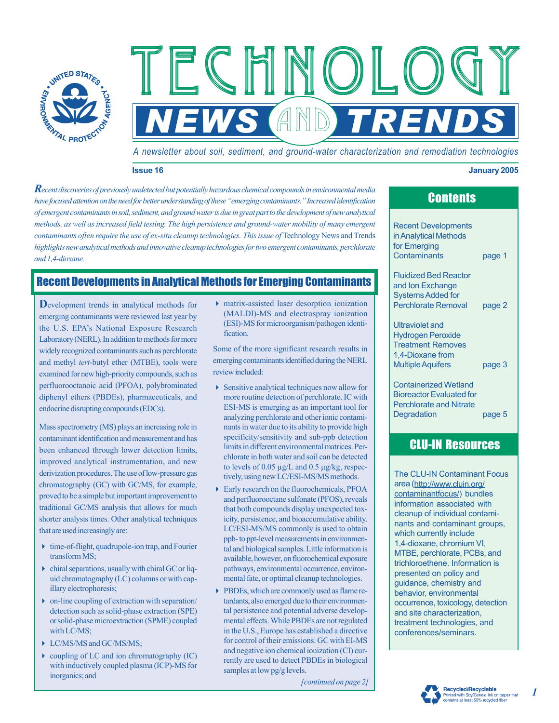

*A newsletter about soil, sediment, and ground-water characterization and remediation technologies*

**NEWS AND TRENDS** 

Technology Technology Technology

### **Issue 16 January 2005**

*Recent discoveries of previously undetected but potentially hazardous chemical compounds in environmental media have focused attention on the need for better understanding of these "emerging contaminants." Increased identification of emergent contaminants in soil, sediment, and ground water is due in great part to the development of new analytical methods, as well as increased field testing. The high persistence and ground-water mobility of many emergent contaminants often require the use of ex-situ cleanup technologies. This issue of Technology News and Trends highlights new analytical methods and innovative cleanup technologies for two emergent contaminants, perchlorate and 1,4-dioxane.* 

# Recent Developments in Analytical Methods for Emerging Contaminants

**D**evelopment trends in analytical methods for emerging contaminants were reviewed last year by the U.S. EPA's National Exposure Research Laboratory (NERL). In addition to methods for more widely recognized contaminants such as perchlorate and methyl *tert*-butyl ether (MTBE), tools were examined for new high-priority compounds, such as perfluorooctanoic acid (PFOA), polybrominated diphenyl ethers (PBDEs), pharmaceuticals, and endocrine disrupting compounds (EDCs).

Mass spectrometry (MS) plays an increasing role in contaminant identification and measurement and has been enhanced through lower detection limits, improved analytical instrumentation, and new derivization procedures. The use of low-pressure gas chromatography (GC) with GC/MS, for example, proved to be a simple but important improvement to traditional GC/MS analysis that allows for much shorter analysis times. Other analytical techniques that are used increasingly are:

- 4 time-of-flight, quadrupole-ion trap, and Fourier transform MS;
- $\triangleright$  chiral separations, usually with chiral GC or liquid chromatography (LC) columns or with capillary electrophoresis;
- $\rightarrow$  on-line coupling of extraction with separation/ detection such as solid-phase extraction (SPE) or solid-phase microextraction (SPME) coupled with LC/MS:
- ▶ LC/MS/MS and GC/MS/MS;
- $\rightarrow$  coupling of LC and ion chromatography (IC) with inductively coupled plasma (ICP)-MS for inorganics; and

4 matrix-assisted laser desorption ionization (MALDI)-MS and electrospray ionization (ESI)-MS for microorganism/pathogen identification.

Some of the more significant research results in emerging contaminants identified during the NERL review included:

- 4 Sensitive analytical techniques now allow for more routine detection of perchlorate. IC with ESI-MS is emerging as an important tool for analyzing perchlorate and other ionic contaminants in water due to its ability to provide high specificity/sensitivity and sub-ppb detection limits in different environmental matrices. Perchlorate in both water and soil can be detected to levels of 0.05 µg/L and 0.5 µg/kg, respectively, using new LC/ESI-MS/MS methods.
- 4 Early research on the fluorochemicals, PFOA and perfluorooctane sulfonate (PFOS), reveals that both compounds display unexpected toxicity, persistence, and bioaccumulative ability. LC/ESI-MS/MS commonly is used to obtain ppb- to ppt-level measurements in environmental and biological samples. Little information is available, however, on fluorochemical exposure pathways, environmental occurrence, environmental fate, or optimal cleanup technologies.
- 4 PBDEs, which are commonly used as flame retardants, also emerged due to their environmental persistence and potential adverse developmental effects. While PBDEs are not regulated in the U.S., Europe has established a directive for control of their emissions. GC with EI-MS and negative ion chemical ionization (CI) currently are used to detect PBDEs in biological samples at low pg/g levels.

*[continued on page 2]* 

| ооншто          |  |
|-----------------|--|
|                 |  |
| nt Developments |  |

**Contente** 

Recent in Analytical Methods for Emerging Contaminants page 1

Fluidized Bed Reactor and Ion Exchange Systems Added for Perchlorate Removal page 2

Ultraviolet and Hydrogen Peroxide Treatment Removes 1,4-Dioxane from Multiple Aquifers page 3

Containerized Wetland Bioreactor Evaluated for Perchlorate and Nitrate Degradation page 5

# CLU-IN Resources

The CLU-IN Contaminant Focus area [\(http://www.cluin.org/](http://www.cluin.org/)  contaminantfocus/) bundles information associated with cleanup of individual contaminants and contaminant groups, which currently include 1,4-dioxane, chromium VI, MTBE, perchlorate, PCBs, and trichloroethene. Information is presented on policy and guidance, chemistry and behavior, environmental occurrence, toxicology, detection and site characterization, treatment technologies, and conferences/seminars.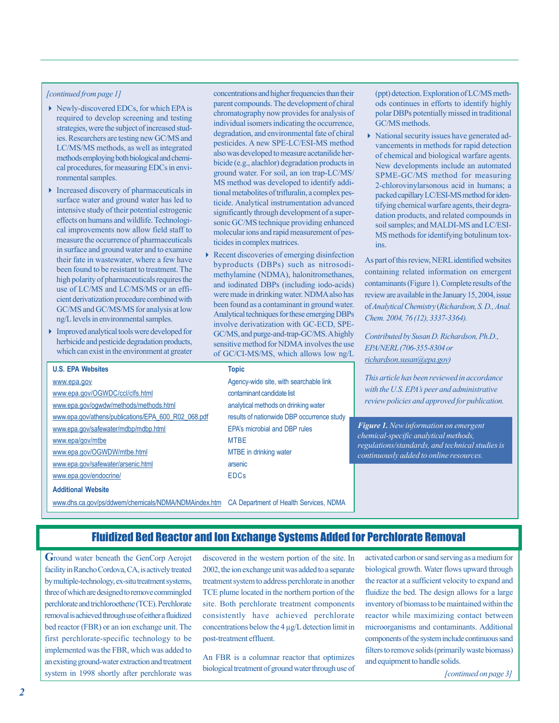## *[continued from page 1]*

- ▶ Newly-discovered EDCs, for which EPA is required to develop screening and testing strategies, were the subject of increased studies. Researchers are testing new GC/MS and LC/MS/MS methods, as well as integrated methods employing both biological and chemical procedures, for measuring EDCs in environmental samples.
- 4 Increased discovery of pharmaceuticals in surface water and ground water has led to intensive study of their potential estrogenic cal improvements now allow field staff to measure the occurrence of pharmaceuticals in surface and ground water and to examine their fate in wastewater, where a few have been found to be resistant to treatment. The high polarity of pharmaceuticals requires the use of LC/MS and LC/MS/MS or an efficient derivatization procedure combined with GC/MS and GC/MS/MS for analysis at low ng/L levels in environmental samples. effects on humans and wildlife. Technologi-
- 4 Improved analytical tools were developed for herbicide and pesticide degradation products, which can exist in the environment at greater

concentrations and higher frequencies than their parent compounds. The development of chiral chromatography now provides for analysis of individual isomers indicating the occurrence, degradation, and environmental fate of chiral also was developed to measure acetanilide herbicide (e.g., alachlor) degradation products in MS method was developed to identify additional metabolites of trifluralin, a complex pessignificantly through development of a supersonic GC/MS technique providing enhanced molecular ions and rapid measurement of pesticides in complex matrices. pesticides. A new SPE-LC/ESI-MS method ground water. For soil, an ion trap-LC/MS/ ticide. Analytical instrumentation advanced

4 Recent discoveries of emerging disinfection methylamine (NDMA), halonitromethanes, and iodinated DBPs (including iodo-acids) Analytical techniques for these emerging DBPs involve derivatization with GC-ECD, SPEsensitive method for NDMA involves the use of GC/CI-MS/MS, which allows low ng/L byproducts (DBPs) such as nitrosodiwere made in drinking water. NDMA also has been found as a contaminant in ground water. GC/MS, and purge-and-trap-GC/MS. A highly (ppt) detection. Exploration of LC/MS methods continues in efforts to identify highly polar DBPs potentially missed in traditional GC/MS methods.

4 National security issues have generated advancements in methods for rapid detection of chemical and biological warfare agents. New developments include an automated SPME-GC/MS method for measuring 2-chlorovinylarsonous acid in humans; a packed capillary LC/ESI-MS method for identifying chemical warfare agents, their degradation products, and related compounds in soil samples; and MALDI-MS and LC/ESI-MS methods for identifying botulinum toxins.

containing related information on emergent contaminants (Figure 1). Complete results of the review are available in the January 15, 2004, issue of *Analytical Chemistry* (*Richardson, S. D., Anal. Chem. 2004, 76 (12), 3337-3364).*  As part of this review, NERL identified websites

*Contributed by Susan D. Richardson, Ph.D., richardson.susan@epa.gov) EPA/NERL (706-355-8304 or* 

*This article has been reviewed in accordance s peer and administrative with the U.S. EPA' review policies and approved for publication.* 

*Figure 1. New information on emergent chemical-specific analytical methods, regulations/standards, and technical studies is continuously added to online resources.* 

www.epa.gov **Agency-wide site, with searchable link** www.epa.gov/OGWDC/ccl/clfs.html contaminant candidate list www.epa.gov/ogwdw/methods/methods.html analytical methods on drinking water www.epa.gov/athens/publications/EPA\_600\_R02\_068.pdf www.epa.gov/safewater/mdbp/mdbp.html www.epa/gov/mtbe MTBE www.epa.gov/OGWDW/mtbe.html MTBE in drinking water www.epa.gov/safewater/arsenic.html arsenic www.epa.gov/endocrine/ EDCs **Additional Website U.S. EPA Websites Topic**  results of nationwide DBP occurrence study EPA's microbial and DBP rules

www.dhs.ca.gov/ps/ddwem/chemicals/NDMA/NDMAindex.htm CA Department of Health Services, NDMA

# Fluidized Bed Reactor and Ion Exchange Systems Added for Perchlorate Removal

**G** round water beneath the GenCorp Aerojet facility in Rancho Cordova, CA, is actively treated three of which are designed to remove commingled perchlorate and trichloroethene (TCE). Perchlorate removal is achieved through use of either a fluidized bed reactor (FBR) or an ion exchange unit. The first perchlorate-specific technology to be implemented was the FBR, which was added to an existing ground-water extraction and treatment system in 1998 shortly after perchlorate was by multiple-technology, ex-situ treatment systems,

discovered in the western portion of the site. In 2002, the ion exchange unit was added to a separate treatment system to address perchlorate in another TCE plume located in the northern portion of the consistently have achieved perchlorate concentrations below the 4 µg/L detection limit in post-treatment effluent. site. Both perchlorate treatment components

An FBR is a columnar reactor that optimizes biological treatment of ground water through use of activated carbon or sand serving as a medium for the reactor at a sufficient velocity to expand and fluidize the bed. The design allows for a large inventory of biomass to be maintained within the reactor while maximizing contact between components of the system include continuous sand filters to remove solids (primarily waste biomass) and equipment to handle solids. biological growth. Water flows upward through microorganisms and contaminants. Additional

*[continued on page 3]*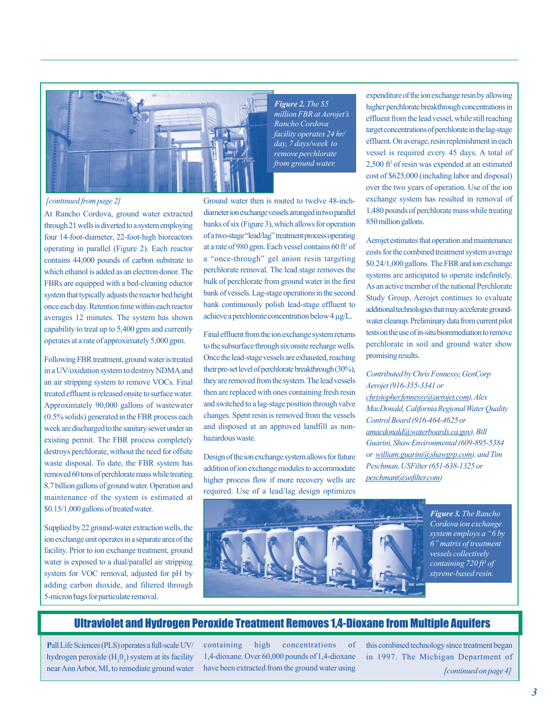

*Figure 2. The \$5 Rancho Cordova facility operates 24 hr/ to day, 7 days/week remove perchlorate million FBR at Aerojet's from ground water.* 

At Rancho Cordova, ground water extracted through 21 wells is diverted to a system employing operating in parallel (Figure 2). Each reactor contains 44,000 pounds of carbon substrate to FBRs are equipped with a bed-cleaning eductor system that typically adjusts the reactor bed height averages 12 minutes. The system has shown capability to treat up to 5,400 gpm and currently operates at a rate of approximately 5,000 gpm. four 14-foot-diameter, 22-foot-high bioreactors which ethanol is added as an electron donor. The once each day. Retention time within each reactor

Following FBR treatment, ground water is treated week are discharged to the sanitary sewer under an existing permit. The FBR process completely destroys perchlorate, without the need for offsite removed 60 tons of perchlorate mass while treating maintenance of the system is estimated at in a UV/oxidation system to destroy NDMA and an air stripping system to remove VOCs. Final treated effluent is released onsite to surface water. Approximately 90,000 gallons of wastewater (0.5% solids) generated in the FBR process each waste disposal. To date, the FBR system has 8.7 billion gallons of ground water. Operation and \$0.15/1,000 gallons of treated water.

ion exchange unit operates in a separate area of the water is exposed to a dual/parallel air stripping 5-micron bags for particulate removal. Supplied by 22 ground-water extraction wells, the facility. Prior to ion exchange treatment, ground system for VOC removal, adjusted for pH by adding carbon dioxide, and filtered through

*[continued from page 2]* Ground water then is routed to twelve 48-inchdiameter ion exchange vessels arranged in two parallel banks of six (Figure 3), which allows for operation of a two-stage "lead/lag" treatment process operating at a rate of 980 gpm. Each vessel contains 60 ft<sup>3</sup> of perchlorate removal. The lead stage removes the bulk of perchlorate from ground water in the first bank of vessels. Lag-stage operations in the second bank continuously polish lead-stage effluent to achieve a perchlorate concentration below 4 µg/L. a "once-through" gel anion resin targeting

> Final effluent from the ion exchange system returns to the subsurface through six onsite recharge wells. Once the lead-stage vessels are exhausted, reaching their pre-set level of perchlorate breakthrough (30%), they are removed from the system. The lead vessels then are replaced with ones containing fresh resin and switched to a lag-stage position through valve changes. Spent resin is removed from the vessels and disposed at an approved landfill as nonhazardous waste.

> Design of the ion exchange system allows for future addition of ion exchange modules to accommodate higher process flow if more recovery wells are required. Use of a lead/lag design optimizes

expenditure of the ion exchange resin by allowing higher perchlorate breakthrough concentrations in effluent from the lead vessel, while still reaching target concentrations of perchlorate in the lag-stage 2,500 ft3 of resin was expended at an estimated cost of \$625,000 (including labor and disposal) over the two years of operation. Use of the ion exchange system has resulted in removal of 1,480 pounds of perchlorate mass while treating 850 million gallons. effluent. On average, resin replenishment in each vessel is required every 45 days. A total of

Aerojet estimates that operation and maintenance costs for the combined treatment system average As an active member of the national Perchlorate additional technologies that may accelerate groundwater cleanup. Preliminary data from current pilot promising results. \$0.24/1,000 gallons. The FBR and ion exchange systems are anticipated to operate indefinitely. Study Group, Aerojet continues to evaluate tests on the use of in-situ bioremediation to remove perchlorate in soil and ground water show

## *Aerojet (916-355-3341 or Contributed by Chris Fennessy, GenCorp*

*christopher.fennessy@aer ojet.com), Alex Control Board (916-464-4625 or amacdonald@waterboards.ca.gov), Bill Guarini, Shaw Environmental (609-895-5384*  or william.guarini@shawgrp.com), and Tim *Peschman, USFilter (651-638-1325 or peschmant@usfilter.com) MacDonald, California Regional Water Quality* 



*Figure 3. The Rancho Cordova ion exchange system employs a —6 by 6" matrix of treatment vessels collectively containing 720 ft3 of styrene-based resin.* 

## Ultraviolet and Hydrogen Peroxide Treatment Removes 1,4-Dioxane from Multiple Aquifers

Pall Life Sciences (PLS) operates a full-scale UV/ hydrogen peroxide  $(H_2O_2)$  system at its facility near Ann Arbor, MI, to remediate ground water

containing high concentrations of 1,4-dioxane. Over 60,000 pounds of 1,4-dioxane have been extracted from the ground water using

this combined technology since treatment began in 1997. The Michigan Department of *[continued on page 4]*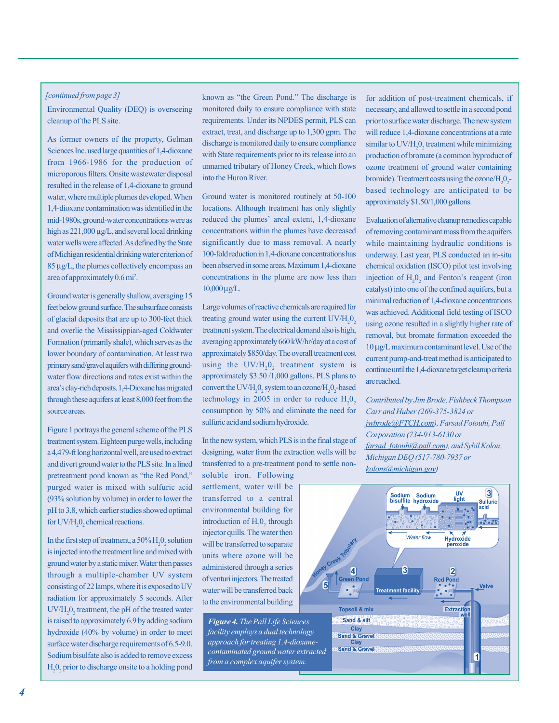## *[continued from page 3]*

Environmental Quality (DEQ) is overseeing cleanup of the PLS site.

from 1966-1986 for the production of microporous filters. Onsite wastewater disposal resulted in the release of 1,4-dioxane to ground water, where multiple plumes developed. When 1,4-dioxane contamination was identified in the mid-1980s, ground-water concentrations were as high as  $221,000 \mu$ g/L, and several local drinking of Michigan residential drinking water criterion of 85 µg/L, the plumes collectively encompass an area of approximately 0.6 mi<sup>2</sup>. As former owners of the property, Gelman Sciences Inc. used large quantities of 1,4-dioxane water wells were affected. As defined by the State

feet below ground surface. The subsurface consists of glacial deposits that are up to 300-feet thick and overlie the Mississippian-aged Coldwater Formation (primarily shale), which serves as the primary sand/gravel aquifers with differing groundwater flow directions and rates exist within the through these aquifers at least 8,000 feet from the source areas. Ground water is generally shallow, averaging 15 lower boundary of contamination. At least two area's clay-rich deposits. 1,4-Dioxane has migrated

Figure 1 portrays the general scheme of the PLS treatment system. Eighteen purge wells, including a 4,479-ft long horizontal well, are used to extract and divert ground water to the PLS site. In a lined pretreatment pond known as "the Red Pond," purged water is mixed with sulfuric acid (93% solution by volume) in order to lower the pH to 3.8, which earlier studies showed optimal for  $UV/H_2O_2$  chemical reactions.

In the first step of treatment, a  $50\%$   $H_2O_2$  solution is injected into the treatment line and mixed with through a multiple-chamber UV system consisting of 22 lamps, where it is exposed to UV  $UV/H_2O_2$  treatment, the pH of the treated water is raised to approximately 6.9 by adding sodium hydroxide (40% by volume) in order to meet surface water discharge requirements of 6.5-9.0. Sodium bisulfate also is added to remove excess H2 02 prior to discharge onsite to a holding pond ground water by a static mixer. Water then passes radiation for approximately 5 seconds. After

known as "the Green Pond." The discharge is monitored daily to ensure compliance with state discharge is monitored daily to ensure compliance with State requirements prior to its release into an unnamed tributary of Honey Creek, which flows requirements. Under its NPDES permit, PLS can extract, treat, and discharge up to 1,300 gpm. The into the Huron River.

Ground water is monitored routinely at 50-100 concentrations within the plumes have decreased 100-fold reduction in 1,4-dioxane concentrations has been observed in some areas. Maximum 1,4-dioxane concentrations in the plume are now less than 10,000 µg/L. locations. Although treatment has only slightly reduced the plumes' areal extent, 1,4-dioxane significantly due to mass removal. A nearly

Large volumes of reactive chemicals are required for treating ground water using the current  $UV/H_2O_2$ treatment system. The electrical demand also is high, averaging approximately 660 kW/hr/day at a cost of using the  $UV/H_2O_2$  treatment system is approximately \$3.50 /1,000 gallons. PLS plans to convert the UV/ $H_2O_2$  system to an ozone/ $H_2O_2$ -based technology in 2005 in order to reduce  $H_2O_2$ consumption by 50% and eliminate the need for sulfuric acid and sodium hydroxide. approximately \$850/day. The overall treatment cost

In the new system, which PLS is in the final stage of designing, water from the extraction wells will be transferred to a pre-treatment pond to settle non-

soluble iron. Following settlement, water will be transferred to a central environmental building for introduction of  $H_2O_2$  through injector quills. The water then will be transferred to separate units where ozone will be administered through a series of venturi injectors. The treated water will be transferred back to the environmental building

*Figure 4. The Pall Life Sciences facility employs a dual technology approach for treating 1,4-dioxanecontaminated ground water extracted from a complex aquifer system.* 

for addition of post-treatment chemicals, if prior to surface water discharge. The new system will reduce 1,4-dioxane concentrations at a rate similar to  $UV/H_2O_2$  treatment while minimizing production of bromate (a common byproduct of ozone treatment of ground water containing bromide). Treatment costs using the ozone/ $H_2O_2$ based technology are anticipated to be approximately \$1.50/1,000 gallons. necessary, and allowed to settle in a second pond

Evaluation of alternative cleanup remedies capable of removing contaminant mass from the aquifers while maintaining hydraulic conditions is chemical oxidation (ISCO) pilot test involving injection of  $H_2O_2$  and Fenton's reagent (iron catalyst) into one of the confined aquifers, but a minimal reduction of 1,4-dioxane concentrations using ozone resulted in a slightly higher rate of removal, but bromate formation exceeded the 10 µg/L maximum contaminant level. Use of the current pump-and-treat method is anticipated to continue until the 1,4-dioxane target cleanup criteria are reached. underway. Last year, PLS conducted an in-situ was achieved. Additional field testing of ISCO

*Contributed by Jim Brode, Fishbeck Thompson Carr and Huber (269-375-3824 or jwbrode@FTCH.com), Farsad Fotouhi, Pall Corporation (734-913-6130 or farsad\_fotouhi@pall.com), and Sybil Kolon , Michigan DEQ (517-780-7937 or kolons@michigan.gov)* 

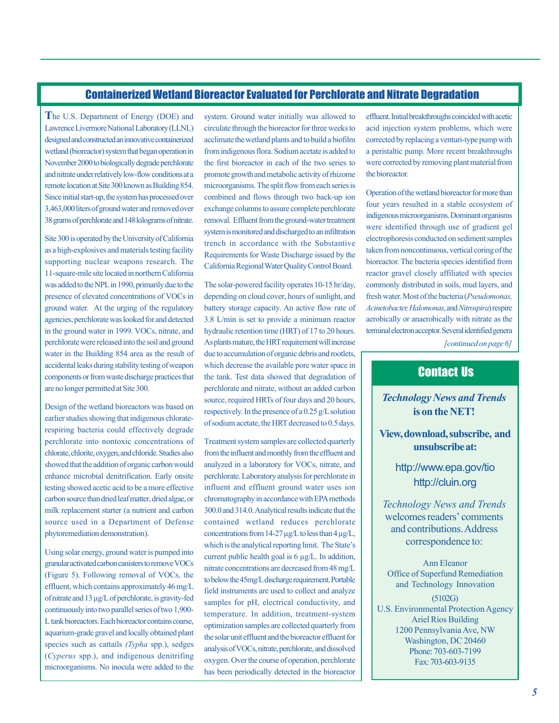# Containerized Wetland Bioreactor Evaluated for Perchlorate and Nitrate Degradation

**T**he U.S. Department of Energy (DOE) and designed and constructed an innovative containerized wetland (bioreactor) system that began operation in November 2000 to biologically degrade perchlorate and nitrate under relatively low-flow conditions at a remote location at Site 300 known as Building 854. Since initial start-up, the system has processed over 38 grams of perchlorate and 148 kilograms of nitrate. Lawrence Livermore National Laboratory (LLNL) 3,463,000 liters of ground water and removed over

Site 300 is operated by the University of California as a high-explosives and materials testing facility supporting nuclear weapons research. The presence of elevated concentrations of VOCs in ground water. At the urging of the regulatory agencies, perchlorate was looked for and detected perchlorate were released into the soil and ground water in the Building 854 area as the result of accidental leaks during stability testing of weapon components or from waste discharge practices that are no longer permitted at Site 300. 11-square-mile site located in northern California was added to the NPL in 1990, primarily due to the in the ground water in 1999. VOCs, nitrate, and

Design of the wetland bioreactors was based on earlier studies showing that indigenous chloraterespiring bacteria could effectively degrade perchlorate into nontoxic concentrations of chlorate, chlorite, oxygen, and chloride. Studies also showed that the addition of organic carbon would enhance microbial denitrification. Early onsite testing showed acetic acid to be a more effective carbon source than dried leaf matter, dried algae, or milk replacement starter ( a nutrient and carbon source used in a Department of Defense phytoremediation demonstration).

granular activated carbon canisters to remove VOCs species such as cattails (Typha spp.), sedges (*Cyperus* spp.), and indigenous denitrifing microorganisms. No inocula were added to the Using solar energy, ground water is pumped into (Figure 5). Following removal of VOCs, the effluent, which contains approximately 46 mg/L of nitrate and 13 µg/L of perchlorate, is gravity-fed continuously into two parallel series of two 1,900- L tank bioreactors. Each bioreactor contains coarse, aquarium-grade gravel and locally obtained plant

circulate through the bioreactor for three weeks to acclimate the wetland plants and to build a biofilm from indigenous flora. Sodium acetate is added to the first bioreactor in each of the two series to promote growth and metabolic activity of rhizome microorganisms. The split flow from each series is combined and flows through two back-up ion exchange columns to assure complete perchlorate removal. Effluent from the ground-water treatment trench in accordance with the Substantive system. Ground water initially was allowed to system is monitored and discharged to an infiltration Requirements for Waste Discharge issued by the California Regional Water Quality Control Board.

3.8 L/min is set to provide a minimum reactor due to accumulation of organic debris and rootlets, perchlorate and nitrate, without an added carbon The solar-powered facility operates 10-15 hr/day, depending on cloud cover, hours of sunlight, and battery storage capacity. An active flow rate of hydraulic retention time (HRT) of 17 to 20 hours. As plants mature, the HRT requirement will increase which decrease the available pore water space in the tank. Test data showed that degradation of source, required HRTs of four days and 20 hours, respectively. In the presence of a 0.25 g/L solution of sodium acetate, the HRT decreased to 0.5 days.

Treatment system samples are collected quarterly from the influent and monthly from the effluent and analyzed in a laboratory for VOCs, nitrate, and perchlorate. Laboratory analysis for perchlorate in influent and effluent ground water uses ion contained wetland reduces perchlorate concentrations from 14-27 µg/L to less than 4 µg/L, which is the analytical reporting limit. The State's nitrate concentrations are decreased from 48 mg/L to below the 45mg/L discharge requirement. Portable field instruments are used to collect and analyze temperature. In addition, treatment-system optimization samples are collected quarterly from the solar unit effluent and the bioreactor effluent for has been periodically detected in the bioreactor chromatography in accordance with EPA methods 300.0 and 314.0. Analytical results indicate that the current public health goal is 6 µg/L. In addition, samples for pH, electrical conductivity, and analysis of VOCs, nitrate, perchlorate, and dissolved oxygen. Over the course of operation, perchlorate

effluent. Initial breakthroughs coincided with acetic acid injection system problems, which were corrected by replacing a venturi-type pump with a peristaltic pump. More recent breakthroughs were corrected by removing plant material from the bioreactor.

*[continued on page 6]*  Operation of the wetland bioreactor for more than four years resulted in a stable ecosystem of indigenous microorganisms. Dominant organisms were identified through use of gradient gel electrophoresis conducted on sediment samples taken from noncontinuous, vertical coring of the reactor gravel closely affiliated with species commonly distributed in soils, mud layers, and fresh water. Most of the bacteria (Pseudomonas, Acinetobacter, Halomonas, and Nitrospira) respire aerobically or anaerobically with nitrate as the bioreactor. The bacteria species identified from terminal electron acceptor. Several identified genera

# Contact Us

**is on the NET!**  *Technology News and Trends* 

**and View, download, subscribe, unsubscribe at:** 

> <http://cluin.org> <http://www.epa.gov/tio>

welcomes readers' comments correspondence to: *Technology News and Trends*  and contributions. Address

Ann Eleanor Office of Superfund Remediation (5102G) Ariel Rios Building and Technology Innovation U.S. Environmental Protection Agency 1200 Pennsylvania Ave, NW Washington, DC 20460

> Phone: 703-603-7199 Fax: 703-603-9135

> > *5*